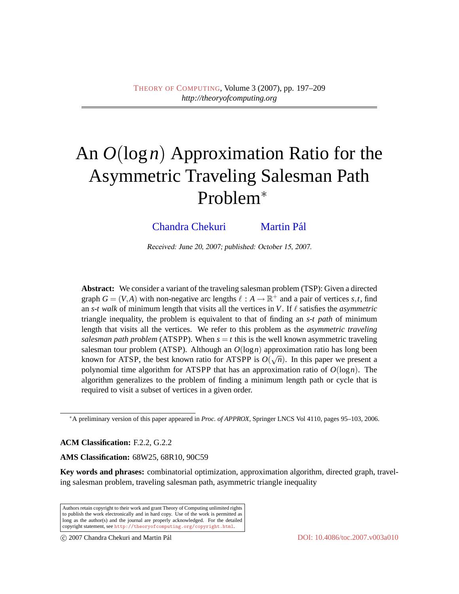# An *O*(log*n*) Approximation Ratio for the Asymmetric Traveling Salesman Path Problem<sup>∗</sup>

# [Chandra Chekuri](#page-11-0) Martin Pál

Received: June 20, 2007; published: October 15, 2007.

**Abstract:** We consider a variant of the traveling salesman problem (TSP): Given a directed graph  $G = (V, A)$  with non-negative arc lengths  $\ell : A \to \mathbb{R}^+$  and a pair of vertices *s*,*t*, find an  $s$ -*t* walk of minimum length that visits all the vertices in V. If  $\ell$  satisfies the *asymmetric* triangle inequality, the problem is equivalent to that of finding an *s*-*t path* of minimum length that visits all the vertices. We refer to this problem as the *asymmetric traveling salesman path problem* (ATSPP). When  $s = t$  this is the well known asymmetric traveling salesman tour problem (ATSP). Although an  $O(\log n)$  approximation ratio has long been known for ATSP, the best known ratio for ATSPP is  $O(\sqrt{n})$ . In this paper we present a polynomial time algorithm for ATSPP that has an approximation ratio of *O*(log*n*). The algorithm generalizes to the problem of finding a minimum length path or cycle that is required to visit a subset of vertices in a given order.

**ACM Classification:** F.2.2, G.2.2

**AMS Classification:** 68W25, 68R10, 90C59

**Key words and phrases:** combinatorial optimization, approximation algorithm, directed graph, traveling salesman problem, traveling salesman path, asymmetric triangle inequality

Authors retain copyright to their work and grant Theory of Computing unlimited rights to publish the work electronically and in hard copy. Use of the work is permitted as long as the author(s) and the journal are properly acknowledged. For the detailed copyright statement, see <http://theoryofcomputing.org/copyright.html>.

<sup>∗</sup>A preliminary version of this paper appeared in *Proc. of APPROX*, Springer LNCS Vol 4110, pages 95–103, 2006.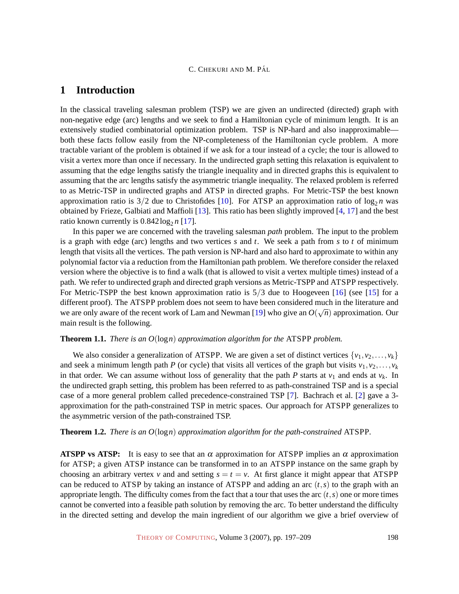## <span id="page-1-3"></span>**1 Introduction**

In the classical traveling salesman problem (TSP) we are given an undirected (directed) graph with non-negative edge (arc) lengths and we seek to find a Hamiltonian cycle of minimum length. It is an extensively studied combinatorial optimization problem. TSP is NP-hard and also inapproximable both these facts follow easily from the NP-completeness of the Hamiltonian cycle problem. A more tractable variant of the problem is obtained if we ask for a tour instead of a cycle; the tour is allowed to visit a vertex more than once if necessary. In the undirected graph setting this relaxation is equivalent to assuming that the edge lengths satisfy the triangle inequality and in directed graphs this is equivalent to assuming that the arc lengths satisfy the asymmetric triangle inequality. The relaxed problem is referred to as Metric-TSP in undirected graphs and ATSP in directed graphs. For Metric-TSP the best known approximation ratio is  $3/2$  due to Christofides [\[10\]](#page-10-0). For ATSP an approximation ratio of  $\log_2 n$  was obtained by Frieze, Galbiati and Maffioli [\[13\]](#page-10-1). This ratio has been slightly improved [\[4,](#page-10-2) [17\]](#page-11-1) and the best ratio known currently is  $0.842 \log_2 n$  [\[17\]](#page-11-1).

In this paper we are concerned with the traveling salesman *path* problem. The input to the problem is a graph with edge (arc) lengths and two vertices *s* and *t*. We seek a path from *s* to *t* of minimum length that visits all the vertices. The path version is NP-hard and also hard to approximate to within any polynomial factor via a reduction from the Hamiltonian path problem. We therefore consider the relaxed version where the objective is to find a walk (that is allowed to visit a vertex multiple times) instead of a path. We refer to undirected graph and directed graph versions as Metric-TSPP and ATSPP respectively. For Metric-TSPP the best known approximation ratio is  $5/3$  due to Hoogeveen [\[16\]](#page-11-2) (see [\[15\]](#page-10-3) for a different proof). The ATSPP problem does not seem to have been considered much in the literature and we are only aware of the recent work of Lam and Newman [\[19\]](#page-11-3) who give an  $O(\sqrt{n})$  approximation. Our main result is the following.

#### <span id="page-1-0"></span>**Theorem 1.1.** *There is an O*(log*n*) *approximation algorithm for the* ATSPP *problem.*

We also consider a generalization of ATSPP. We are given a set of distinct vertices  $\{v_1, v_2, \ldots, v_k\}$ and seek a minimum length path *P* (or cycle) that visits all vertices of the graph but visits  $v_1, v_2, \ldots, v_k$ in that order. We can assume without loss of generality that the path *P* starts at  $v_1$  and ends at  $v_k$ . In the undirected graph setting, this problem has been referred to as path-constrained TSP and is a special case of a more general problem called precedence-constrained TSP [\[7\]](#page-10-4). Bachrach et al. [\[2\]](#page-9-0) gave a 3 approximation for the path-constrained TSP in metric spaces. Our approach for ATSPP generalizes to the asymmetric version of the path-constrained TSP.

<span id="page-1-1"></span>**Theorem 1.2.** *There is an O*(log*n*) *approximation algorithm for the path-constrained* ATSPP*.*

<span id="page-1-2"></span>**ATSPP vs ATSP:** It is easy to see that an  $\alpha$  approximation for ATSPP implies an  $\alpha$  approximation for ATSP; a given ATSP instance can be transformed in to an ATSPP instance on the same graph by choosing an arbitrary vertex *v* and and setting  $s = t = v$ . At first glance it might appear that ATSPP can be reduced to ATSP by taking an instance of ATSPP and adding an arc  $(t, s)$  to the graph with an appropriate length. The difficulty comes from the fact that a tour that uses the arc  $(t, s)$  one or more times cannot be converted into a feasible path solution by removing the arc. To better understand the difficulty in the directed setting and develop the main ingredient of our algorithm we give a brief overview of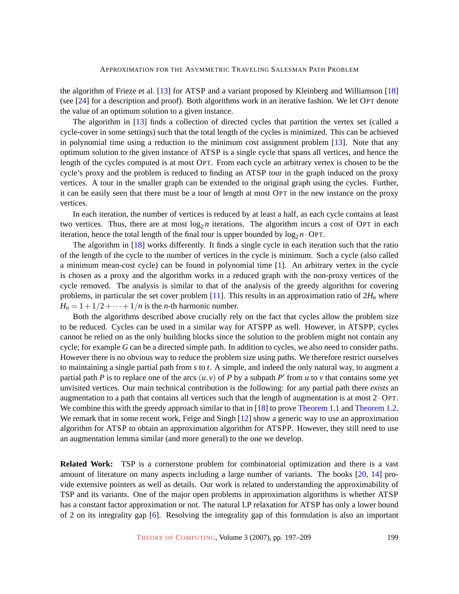the algorithm of Frieze et al. [\[13\]](#page-10-1) for ATSP and a variant proposed by Kleinberg and Williamson [\[18\]](#page-11-4) (see [\[24\]](#page-11-5) for a description and proof). Both algorithms work in an iterative fashion. We let OPT denote the value of an optimum solution to a given instance.

The algorithm in [\[13\]](#page-10-1) finds a collection of directed cycles that partition the vertex set (called a cycle-cover in some settings) such that the total length of the cycles is minimized. This can be achieved in polynomial time using a reduction to the minimum cost assignment problem [\[13\]](#page-10-1). Note that any optimum solution to the given instance of ATSP is a single cycle that spans all vertices, and hence the length of the cycles computed is at most OPT. From each cycle an arbitrary vertex is chosen to be the cycle's proxy and the problem is reduced to finding an ATSP tour in the graph induced on the proxy vertices. A tour in the smaller graph can be extended to the original graph using the cycles. Further, it can be easily seen that there must be a tour of length at most OPT in the new instance on the proxy vertices.

In each iteration, the number of vertices is reduced by at least a half, as each cycle contains at least two vertices. Thus, there are at most  $log_2 n$  iterations. The algorithm incurs a cost of OPT in each iteration, hence the total length of the final tour is upper bounded by  $\log_2 n \cdot \text{OPT}$ .

The algorithm in [\[18\]](#page-11-4) works differently. It finds a single cycle in each iteration such that the ratio of the length of the cycle to the number of vertices in the cycle is minimum. Such a cycle (also called a minimum mean-cost cycle) can be found in polynomial time [\[1\]](#page-9-1). An arbitrary vertex in the cycle is chosen as a proxy and the algorithm works in a reduced graph with the non-proxy vertices of the cycle removed. The analysis is similar to that of the analysis of the greedy algorithm for covering problems, in particular the set cover problem [\[11\]](#page-10-5). This results in an approximation ratio of 2*H<sup>n</sup>* where  $H_n = 1 + 1/2 + \cdots + 1/n$  is the *n*-th harmonic number.

Both the algorithms described above crucially rely on the fact that cycles allow the problem size to be reduced. Cycles can be used in a similar way for ATSPP as well. However, in ATSPP, cycles cannot be relied on as the only building blocks since the solution to the problem might not contain any cycle; for example *G* can be a directed simple path. In addition to cycles, we also need to consider paths. However there is no obvious way to reduce the problem size using paths. We therefore restrict ourselves to maintaining a single partial path from *s* to *t*. A simple, and indeed the only natural way, to augment a partial path *P* is to replace one of the arcs  $(u, v)$  of *P* by a subpath *P*<sup> $\prime$ </sup> from *u* to *v* that contains some yet unvisited vertices. Our main technical contribution is the following: for any partial path there *exists* an augmentation to a path that contains all vertices such that the length of augmentation is at most  $2 \cdot OPT$ . We combine this with the greedy approach similar to that in [\[18\]](#page-11-4) to prove [Theorem 1.1](#page-1-0) and [Theorem 1.2.](#page-1-1) We remark that in some recent work, Feige and Singh [\[12\]](#page-10-6) show a generic way to use an approximation algorithm for ATSP to obtain an approximation algorithm for ATSPP. However, they still need to use an augmentation lemma similar (and more general) to the one we develop.

<span id="page-2-0"></span>**Related Work:** TSP is a cornerstone problem for combinatorial optimization and there is a vast amount of literature on many aspects including a large number of variants. The books [\[20,](#page-11-6) [14\]](#page-10-7) provide extensive pointers as well as details. Our work is related to understanding the approximability of TSP and its variants. One of the major open problems in approximation algorithms is whether ATSP has a constant factor approximation or not. The natural LP relaxation for ATSP has only a lower bound of 2 on its integrality gap [\[6\]](#page-10-8). Resolving the integrality gap of this formulation is also an important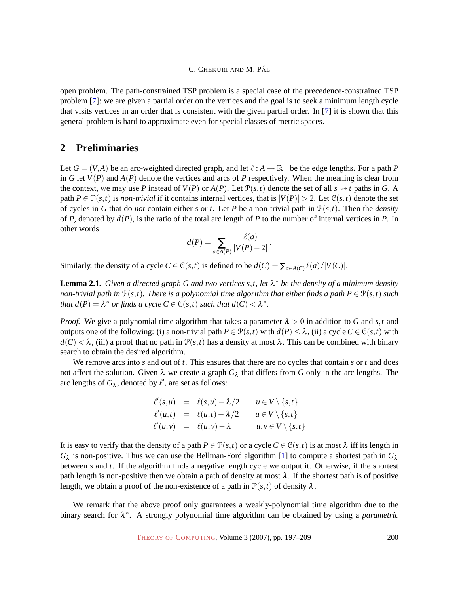open problem. The path-constrained TSP problem is a special case of the precedence-constrained TSP problem [\[7\]](#page-10-4): we are given a partial order on the vertices and the goal is to seek a minimum length cycle that visits vertices in an order that is consistent with the given partial order. In [\[7\]](#page-10-4) it is shown that this general problem is hard to approximate even for special classes of metric spaces.

# **2 Preliminaries**

Let  $G = (V, A)$  be an arc-weighted directed graph, and let  $\ell : A \to \mathbb{R}^+$  be the edge lengths. For a path *P* in *G* let  $V(P)$  and  $A(P)$  denote the vertices and arcs of *P* respectively. When the meaning is clear from the context, we may use *P* instead of  $V(P)$  or  $A(P)$ . Let  $\mathcal{P}(s,t)$  denote the set of all  $s \rightsquigarrow t$  paths in *G*. A path  $P \in \mathcal{P}(s,t)$  is *non-trivial* if it contains internal vertices, that is  $|V(P)| > 2$ . Let  $\mathcal{C}(s,t)$  denote the set of cycles in *G* that do *not* contain either *s* or *t*. Let *P* be a non-trivial path in  $\mathcal{P}(s,t)$ . Then the *density* of *P*, denoted by *d*(*P*), is the ratio of the total arc length of *P* to the number of internal vertices in *P*. In other words

$$
d(P) = \sum_{a \in A(P)} \frac{\ell(a)}{|V(P) - 2|}
$$

.

Similarly, the density of a cycle  $C \in \mathcal{C}(s,t)$  is defined to be  $d(C) = \sum_{a \in A(C)} \ell(a)/|V(C)|$ .

<span id="page-3-0"></span>**Lemma 2.1.** *Given a directed graph G and two vertices s*,*t, let* λ <sup>∗</sup> *be the density of a minimum density non-trivial path in*  $\mathcal{P}(s,t)$ *. There is a polynomial time algorithm that either finds a path*  $P \in \mathcal{P}(s,t)$  *such that*  $d(P) = \lambda^*$  *or finds a cycle*  $C \in \mathcal{C}(s,t)$  *such that*  $d(C) < \lambda^*$ *.* 

*Proof.* We give a polynomial time algorithm that takes a parameter  $\lambda > 0$  in addition to G and s,t and outputs one of the following: (i) a non-trivial path  $P \in \mathcal{P}(s,t)$  with  $d(P) \leq \lambda$ , (ii) a cycle  $C \in \mathcal{C}(s,t)$  with  $d(C) < \lambda$ , (iii) a proof that no path in  $\mathcal{P}(s,t)$  has a density at most  $\lambda$ . This can be combined with binary search to obtain the desired algorithm.

We remove arcs into  $s$  and out of  $t$ . This ensures that there are no cycles that contain  $s$  or  $t$  and does not affect the solution. Given  $\lambda$  we create a graph  $G_{\lambda}$  that differs from *G* only in the arc lengths. The arc lengths of  $G_{\lambda}$ , denoted by  $\ell'$ , are set as follows:

$$
\ell'(s, u) = \ell(s, u) - \lambda/2 \qquad u \in V \setminus \{s, t\}
$$
  

$$
\ell'(u, t) = \ell(u, t) - \lambda/2 \qquad u \in V \setminus \{s, t\}
$$
  

$$
\ell'(u, v) = \ell(u, v) - \lambda \qquad u, v \in V \setminus \{s, t\}
$$

It is easy to verify that the density of a path  $P \in \mathcal{P}(s,t)$  or a cycle  $C \in \mathcal{C}(s,t)$  is at most  $\lambda$  iff its length in  $G_{\lambda}$  is non-positive. Thus we can use the Bellman-Ford algorithm [\[1\]](#page-9-1) to compute a shortest path in  $G_{\lambda}$ between *s* and *t*. If the algorithm finds a negative length cycle we output it. Otherwise, if the shortest path length is non-positive then we obtain a path of density at most  $\lambda$ . If the shortest path is of positive length, we obtain a proof of the non-existence of a path in  $P(s,t)$  of density  $\lambda$ .  $\Box$ 

We remark that the above proof only guarantees a weakly-polynomial time algorithm due to the binary search for λ ∗ . A strongly polynomial time algorithm can be obtained by using a *parametric*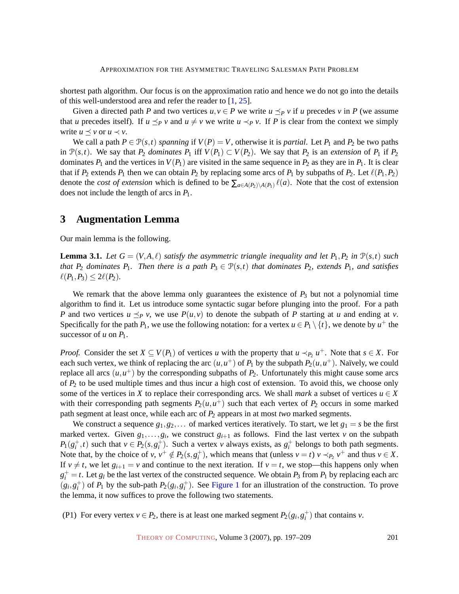shortest path algorithm. Our focus is on the approximation ratio and hence we do not go into the details of this well-understood area and refer the reader to [\[1,](#page-9-1) [25\]](#page-11-7).

Given a directed path *P* and two vertices  $u, v \in P$  we write  $u \preceq_P v$  if *u* precedes *v* in *P* (we assume that *u* precedes itself). If  $u \preceq_{P} v$  and  $u \neq v$  we write  $u \prec_{P} v$ . If *P* is clear from the context we simply write  $u \preceq v$  or  $u \prec v$ .

We call a path  $P \in \mathcal{P}(s,t)$  *spanning* if  $V(P) = V$ , otherwise it is *partial*. Let  $P_1$  and  $P_2$  be two paths in  $\mathcal{P}(s,t)$ . We say that  $P_2$  *dominates*  $P_1$  iff  $V(P_1) \subset V(P_2)$ . We say that  $P_2$  is an *extension* of  $P_1$  if  $P_2$ dominates  $P_1$  and the vertices in  $V(P_1)$  are visited in the same sequence in  $P_2$  as they are in  $P_1$ . It is clear that if  $P_2$  extends  $P_1$  then we can obtain  $P_2$  by replacing some arcs of  $P_1$  by subpaths of  $P_2$ . Let  $\ell(P_1, P_2)$ denote the *cost of extension* which is defined to be  $\sum_{a \in A(P_2) \setminus A(P_1)} \ell(a)$ . Note that the cost of extension does not include the length of arcs in *P*1.

## **3 Augmentation Lemma**

<span id="page-4-0"></span>Our main lemma is the following.

**Lemma 3.1.** Let  $G = (V, A, \ell)$  *satisfy the asymmetric triangle inequality and let*  $P_1, P_2$  *in*  $\mathcal{P}(s,t)$  *such that*  $P_2$  *dominates*  $P_1$ *. Then there is a path*  $P_3 \in \mathcal{P}(s,t)$  *that dominates*  $P_2$ *, extends*  $P_1$ *, and satisfies*  $\ell(P_1, P_3) \leq 2\ell(P_2).$ 

We remark that the above lemma only guarantees the existence of  $P_3$  but not a polynomial time algorithm to find it. Let us introduce some syntactic sugar before plunging into the proof. For a path *P* and two vertices  $u \leq_P v$ , we use  $P(u, v)$  to denote the subpath of *P* starting at *u* and ending at *v*. Specifically for the path  $P_1$ , we use the following notation: for a vertex  $u \in P_1 \setminus \{t\}$ , we denote by  $u^+$  the successor of  $u$  on  $P_1$ .

*Proof.* Consider the set  $X \subseteq V(P_1)$  of vertices *u* with the property that  $u \prec_{P_2} u^+$ . Note that  $s \in X$ . For each such vertex, we think of replacing the arc  $(u, u^+)$  of  $P_1$  by the subpath  $P_2(u, u^+)$ . Naïvely, we could replace all arcs  $(u, u<sup>+</sup>)$  by the corresponding subpaths of  $P_2$ . Unfortunately this might cause some arcs of *P*<sub>2</sub> to be used multiple times and thus incur a high cost of extension. To avoid this, we choose only some of the vertices in *X* to replace their corresponding arcs. We shall *mark* a subset of vertices  $u \in X$ with their corresponding path segments  $P_2(u, u^+)$  such that each vertex of  $P_2$  occurs in some marked path segment at least once, while each arc of *P*<sup>2</sup> appears in at most *two* marked segments.

We construct a sequence  $g_1, g_2, \ldots$  of marked vertices iteratively. To start, we let  $g_1 = s$  be the first marked vertex. Given  $g_1, \ldots, g_i$ , we construct  $g_{i+1}$  as follows. Find the last vertex *v* on the subpath  $P_1(g_i^+, t)$  such that  $v \in P_2(s, g_i^+)$ . Such a vertex *v* always exists, as  $g_i^+$  belongs to both path segments. Note that, by the choice of *v*,  $v^+ \notin P_2(s, g_i^+)$ , which means that (unless  $v = t$ )  $v \prec_{P_2} v^+$  and thus  $v \in X$ . If  $v \neq t$ , we let  $g_{i+1} = v$  and continue to the next iteration. If  $v = t$ , we stop—this happens only when  $g_i^+ = t$ . Let  $g_i$  be the last vertex of the constructed sequence. We obtain  $P_3$  from  $P_1$  by replacing each arc  $(g_i, g_i^+)$  of  $P_1$  $P_1$  by the sub-path  $P_2(g_i, g_i^+)$ . See Figure 1 [for an illustration of the construction. To prove](#page-5-0) the lemma, it now suffices to prove the following two statements.

(P1) For every vertex  $v \in P_2$ , there is at least one marked segment  $P_2(g_i, g_i^+)$  that contains *v*.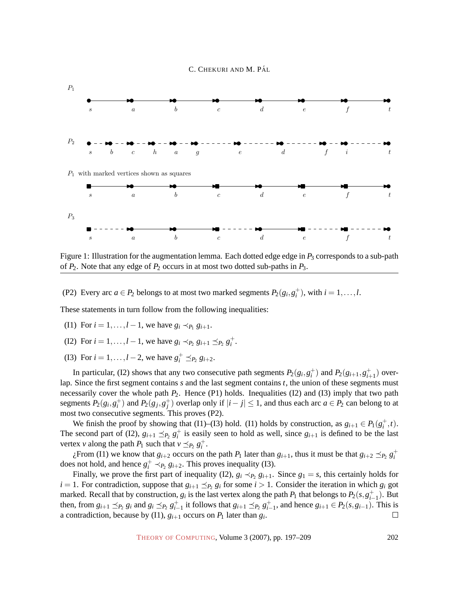



<span id="page-5-0"></span>Figure 1: Illustration for the augmentation lemma. Each dotted edge edge in  $P_3$  corresponds to a sub-path of  $P_2$ . Note that any edge of  $P_2$  occurs in at most two dotted sub-paths in  $P_3$ .

(P2) Every arc  $a \in P_2$  belongs to at most two marked segments  $P_2(g_i, g_i^+)$ , with  $i = 1, ..., l$ .

These statements in turn follow from the following inequalities:

- (I1) For  $i = 1, ..., l 1$ , we have  $g_i \prec_{P_1} g_{i+1}$ .
- (I2) For  $i = 1, ..., l 1$ , we have  $g_i \prec_{P_2} g_{i+1} \preceq_{P_2} g_i^+$ .
- (I3) For  $i = 1, ..., l 2$ , we have  $g_i^+ \leq_{P_2} g_{i+2}$ .

In particular, (I2) shows that any two consecutive path segments  $P_2(g_i, g_i^+)$  and  $P_2(g_{i+1}, g_{i+1}^+)$  overlap. Since the first segment contains *s* and the last segment contains *t*, the union of these segments must necessarily cover the whole path  $P_2$ . Hence (P1) holds. Inequalities (I2) and (I3) imply that two path segments  $P_2(g_i, g_i^+)$  and  $P_2(g_j, g_j^+)$  overlap only if  $|i-j| \le 1$ , and thus each arc  $a \in P_2$  can belong to at most two consecutive segments. This proves (P2).

We finish the proof by showing that (I1)–(I3) hold. (I1) holds by construction, as  $g_{i+1} \in P_1(g_i^+, t)$ . The second part of (I2),  $g_{i+1} \leq_{p_2} g_i^+$  is easily seen to hold as well, since  $g_{i+1}$  is defined to be the last vertex *v* along the path  $P_1$  such that  $v \leq_{P_2} g_i^+$ .

*i*G From (I1) we know that  $g_{i+2}$  occurs on the path  $P_1$  later than  $g_{i+1}$ , thus it must be that  $g_{i+2} \preceq_{P_2} g_i^+$ does not hold, and hence  $g_i^+ \prec_{P_2} g_{i+2}$ . This proves inequality (I3).

Finally, we prove the first part of inequality (I2),  $g_i \prec_{P_2} g_{i+1}$ . Since  $g_1 = s$ , this certainly holds for  $i = 1$ . For contradiction, suppose that  $g_{i+1} \leq_{P_2} g_i$  for some  $i > 1$ . Consider the iteration in which  $g_i$  got marked. Recall that by construction,  $g_i$  is the last vertex along the path  $P_1$  that belongs to  $P_2(s, g_{i-1}^+)$ . But then, from  $g_{i+1} \preceq_{P_2} g_i$  and  $g_i \preceq_{P_2} g_{i-1}^+$  it follows that  $g_{i+1} \preceq_{P_2} g_{i-1}^+$ , and hence  $g_{i+1} \in P_2(s, g_{i-1})$ . This is a contradiction, because by (I1),  $g_{i+1}$  occurs on  $P_1$  later than  $g_i$ .  $\Box$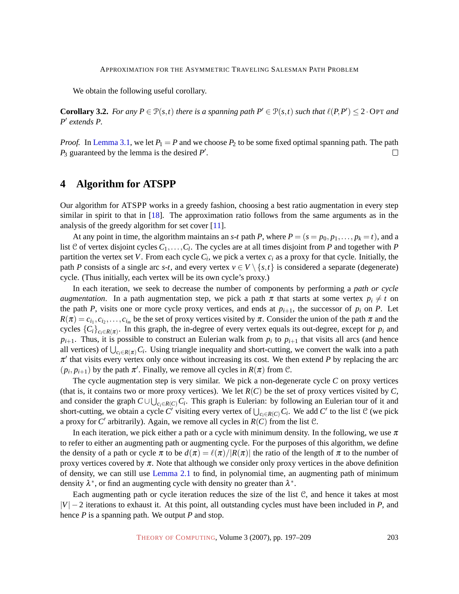We obtain the following useful corollary.

**Corollary 3.2.** For any  $P \in \mathcal{P}(s,t)$  there is a spanning path  $P' \in \mathcal{P}(s,t)$  such that  $\ell(P,P') \leq 2$  · OPT and *P* 0 *extends P.*

*Proof.* In [Lemma 3.1,](#page-4-0) we let  $P_1 = P$  and we choose  $P_2$  to be some fixed optimal spanning path. The path  $P_3$  guaranteed by the lemma is the desired  $P'$ .  $\Box$ 

## <span id="page-6-0"></span>**4 Algorithm for ATSPP**

Our algorithm for ATSPP works in a greedy fashion, choosing a best ratio augmentation in every step similar in spirit to that in [\[18\]](#page-11-4). The approximation ratio follows from the same arguments as in the analysis of the greedy algorithm for set cover [\[11\]](#page-10-5).

At any point in time, the algorithm maintains an  $s$ -*t* path *P*, where  $P = (s = p_0, p_1, \dots, p_k = t)$ , and a list  $C$  of vertex disjoint cycles  $C_1, \ldots, C_l$ . The cycles are at all times disjoint from *P* and together with *P* partition the vertex set *V*. From each cycle *C<sup>i</sup>* , we pick a vertex *c<sup>i</sup>* as a proxy for that cycle. Initially, the path *P* consists of a single arc *s*-*t*, and every vertex  $v \in V \setminus \{s,t\}$  is considered a separate (degenerate) cycle. (Thus initially, each vertex will be its own cycle's proxy.)

In each iteration, we seek to decrease the number of components by performing a *path or cycle augmentation*. In a path augmentation step, we pick a path  $\pi$  that starts at some vertex  $p_i \neq t$  on the path *P*, visits one or more cycle proxy vertices, and ends at  $p_{i+1}$ , the successor of  $p_i$  on *P*. Let  $R(\pi) = c_{i_1}, c_{i_2}, \ldots, c_{i_m}$  be the set of proxy vertices visited by  $\pi$ . Consider the union of the path  $\pi$  and the cycles  ${C_i}_{c_i \in R(\pi)}$ . In this graph, the in-degree of every vertex equals its out-degree, except for  $p_i$  and  $p_{i+1}$ . Thus, it is possible to construct an Eulerian walk from  $p_i$  to  $p_{i+1}$  that visits all arcs (and hence all vertices) of  $\bigcup_{c_i \in R(\pi)} C_i$ . Using triangle inequality and short-cutting, we convert the walk into a path  $\pi'$  that visits every vertex only once without increasing its cost. We then extend *P* by replacing the arc  $(p_i, p_{i+1})$  by the path  $\pi'$ . Finally, we remove all cycles in  $R(\pi)$  from  $\mathcal{C}$ .

The cycle augmentation step is very similar. We pick a non-degenerate cycle *C* on proxy vertices (that is, it contains two or more proxy vertices). We let  $R(C)$  be the set of proxy vertices visited by  $C$ , and consider the graph  $C \cup \bigcup_{c_i \in R(C)} C_i$ . This graph is Eulerian: by following an Eulerian tour of it and short-cutting, we obtain a cycle  $C'$  visiting every vertex of  $\bigcup_{c_i \in R(C)} C_i$ . We add  $C'$  to the list C (we pick a proxy for *C'* arbitrarily). Again, we remove all cycles in  $R(C)$  from the list C.

In each iteration, we pick either a path or a cycle with minimum density. In the following, we use  $\pi$ to refer to either an augmenting path or augmenting cycle. For the purposes of this algorithm, we define the density of a path or cycle  $\pi$  to be  $d(\pi) = \ell(\pi)/|R(\pi)|$  the ratio of the length of  $\pi$  to the number of proxy vertices covered by  $\pi$ . Note that although we consider only proxy vertices in the above definition of density, we can still use [Lemma 2.1](#page-3-0) to find, in polynomial time, an augmenting path of minimum density  $\lambda^*$ , or find an augmenting cycle with density no greater than  $\lambda^*$ .

Each augmenting path or cycle iteration reduces the size of the list  $C$ , and hence it takes at most |*V*| −2 iterations to exhaust it. At this point, all outstanding cycles must have been included in *P*, and hence *P* is a spanning path. We output *P* and stop.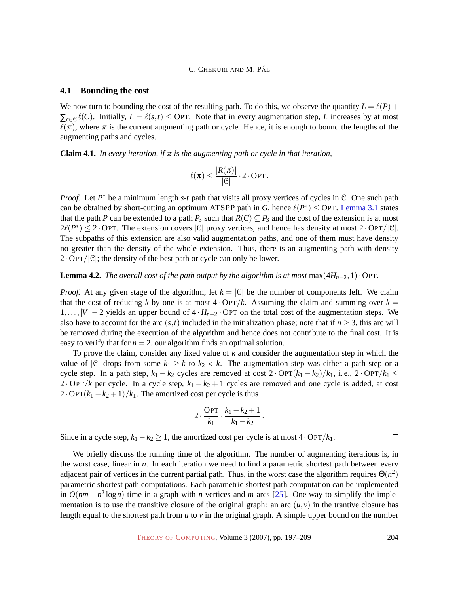#### **4.1 Bounding the cost**

We now turn to bounding the cost of the resulting path. To do this, we observe the quantity  $L = \ell(P) + \ell(P)$  $\sum_{c \in \mathcal{C}} \ell(C)$ . Initially,  $L = \ell(s,t) \leq \text{OPT}$ . Note that in every augmentation step, *L* increases by at most  $\ell(\pi)$ , where  $\pi$  is the current augmenting path or cycle. Hence, it is enough to bound the lengths of the augmenting paths and cycles.

**Claim 4.1.** *In every iteration, if* π *is the augmenting path or cycle in that iteration,*

$$
\ell(\pi) \leq \frac{|R(\pi)|}{|\mathcal{C}|} \cdot 2 \cdot \text{OPT}.
$$

*Proof.* Let *P*<sup>∗</sup> be a minimum length *s*-*t* path that visits all proxy vertices of cycles in €. One such path can be obtained by short-cutting an optimum ATSPP path in *G*, hence  $\ell(P^*) \leq$  OPT. [Lemma 3.1](#page-4-0) states that the path *P* can be extended to a path  $P_3$  such that  $R(C) \subseteq P_3$  and the cost of the extension is at most  $2\ell(P^*) \leq 2$  · OPT. The extension covers |C| proxy vertices, and hence has density at most 2 · OPT/|C|. The subpaths of this extension are also valid augmentation paths, and one of them must have density no greater than the density of the whole extension. Thus, there is an augmenting path with density  $2 \cdot \text{OPT}/|\mathcal{C}|$ ; the density of the best path or cycle can only be lower.  $\Box$ 

<span id="page-7-0"></span>**Lemma 4.2.** *The overall cost of the path output by the algorithm is at most* max $(4H_{n-2}, 1) \cdot \text{OPT}$ .

*Proof.* At any given stage of the algorithm, let  $k = |\mathcal{C}|$  be the number of components left. We claim that the cost of reducing *k* by one is at most  $4 \cdot \text{OPT}/k$ . Assuming the claim and summing over  $k =$ 1,...,|*V*| − 2 yields an upper bound of 4 · *Hn*−<sup>2</sup> · OPT on the total cost of the augmentation steps. We also have to account for the arc  $(s,t)$  included in the initialization phase; note that if  $n \geq 3$ , this arc will be removed during the execution of the algorithm and hence does not contribute to the final cost. It is easy to verify that for  $n = 2$ , our algorithm finds an optimal solution.

To prove the claim, consider any fixed value of *k* and consider the augmentation step in which the value of  $|C|$  drops from some  $k_1 \geq k$  to  $k_2 < k$ . The augmentation step was either a path step or a cycle step. In a path step,  $k_1 - k_2$  cycles are removed at cost  $2 \cdot \text{OPT}(k_1 - k_2)/k_1$ , i.e.,  $2 \cdot \text{OPT}/k_1 \le$ 2 · OPT/ $k$  per cycle. In a cycle step,  $k_1 - k_2 + 1$  cycles are removed and one cycle is added, at cost  $2 \cdot \text{OPT}(k_1 - k_2 + 1)/k_1$ . The amortized cost per cycle is thus

$$
2 \cdot \frac{\text{OPT}}{k_1} \cdot \frac{k_1 - k_2 + 1}{k_1 - k_2} \, .
$$

Since in a cycle step,  $k_1 - k_2 \ge 1$ , the amortized cost per cycle is at most  $4 \cdot \text{OPT}/k_1$ .  $\Box$ 

We briefly discuss the running time of the algorithm. The number of augmenting iterations is, in the worst case, linear in *n*. In each iteration we need to find a parametric shortest path between every adjacent pair of vertices in the current partial path. Thus, in the worst case the algorithm requires  $\Theta(n^2)$ parametric shortest path computations. Each parametric shortest path computation can be implemented in  $O(nm + n^2 \log n)$  time in a graph with *n* vertices and *m* arcs [\[25\]](#page-11-7). One way to simplify the implementation is to use the transitive closure of the original graph: an arc  $(u, v)$  in the trantive closure has length equal to the shortest path from *u* to *v* in the original graph. A simple upper bound on the number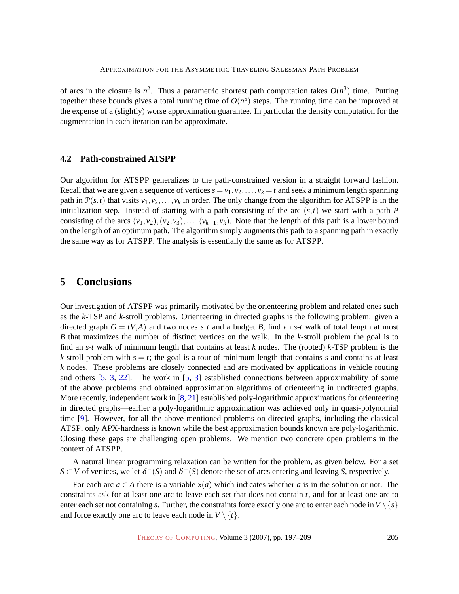of arcs in the closure is  $n^2$ . Thus a parametric shortest path computation takes  $O(n^3)$  time. Putting together these bounds gives a total running time of  $O(n^5)$  steps. The running time can be improved at the expense of a (slightly) worse approximation guarantee. In particular the density computation for the augmentation in each iteration can be approximate.

## **4.2 Path-constrained ATSPP**

Our algorithm for ATSPP generalizes to the path-constrained version in a straight forward fashion. Recall that we are given a sequence of vertices  $s = v_1, v_2, \ldots, v_k = t$  and seek a minimum length spanning path in  $\mathcal{P}(s,t)$  that visits  $v_1, v_2, \ldots, v_k$  in order. The only change from the algorithm for ATSPP is in the initialization step. Instead of starting with a path consisting of the arc  $(s,t)$  we start with a path *P* consisting of the arcs  $(v_1, v_2), (v_2, v_3), \ldots, (v_{k-1}, v_k)$ . Note that the length of this path is a lower bound on the length of an optimum path. The algorithm simply augments this path to a spanning path in exactly the same way as for ATSPP. The analysis is essentially the same as for ATSPP.

## <span id="page-8-0"></span>**5 Conclusions**

Our investigation of ATSPP was primarily motivated by the orienteering problem and related ones such as the *k*-TSP and *k*-stroll problems. Orienteering in directed graphs is the following problem: given a directed graph  $G = (V, A)$  and two nodes *s*,*t* and a budget *B*, find an *s*-*t* walk of total length at most *B* that maximizes the number of distinct vertices on the walk. In the *k*-stroll problem the goal is to find an *s*-*t* walk of minimum length that contains at least *k* nodes. The (rooted) *k*-TSP problem is the *k*-stroll problem with  $s = t$ ; the goal is a tour of minimum length that contains *s* and contains at least *k* nodes. These problems are closely connected and are motivated by applications in vehicle routing and others [\[5,](#page-10-9) [3,](#page-9-2) [22\]](#page-11-8). The work in [\[5,](#page-10-9) [3\]](#page-9-2) established connections between approximability of some of the above problems and obtained approximation algorithms of orienteering in undirected graphs. More recently, independent work in [\[8,](#page-10-10) [21\]](#page-11-9) established poly-logarithmic approximations for orienteering in directed graphs—earlier a poly-logarithmic approximation was achieved only in quasi-polynomial time [\[9\]](#page-10-11). However, for all the above mentioned problems on directed graphs, including the classical ATSP, only APX-hardness is known while the best approximation bounds known are poly-logarithmic. Closing these gaps are challenging open problems. We mention two concrete open problems in the context of ATSPP.

A natural linear programming relaxation can be written for the problem, as given below. For a set  $S \subset V$  of vertices, we let  $\delta^-(S)$  and  $\delta^+(S)$  denote the set of arcs entering and leaving *S*, respectively.

For each arc  $a \in A$  there is a variable  $x(a)$  which indicates whether *a* is in the solution or not. The constraints ask for at least one arc to leave each set that does not contain *t*, and for at least one arc to enter each set not containing *s*. Further, the constraints force exactly one arc to enter each node in  $V \setminus \{s\}$ and force exactly one arc to leave each node in  $V \setminus \{t\}.$ 

THEORY OF C[OMPUTING](http://dx.doi.org/10.4086/toc), Volume 3 (2007), pp. 197–209 205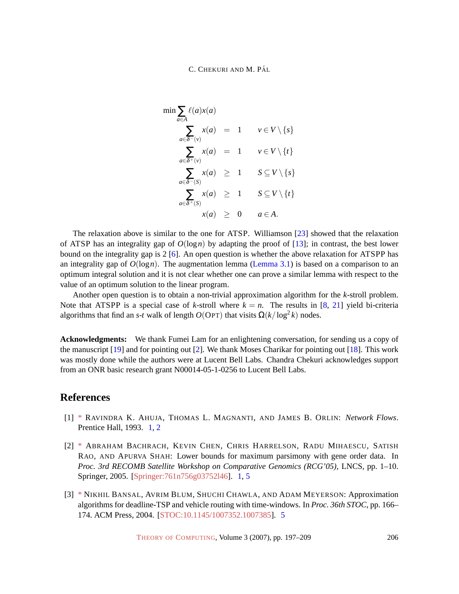$$
\min \sum_{a \in A} \ell(a)x(a)
$$
\n
$$
\sum_{a \in \delta^-(v)} x(a) = 1 \qquad v \in V \setminus \{s\}
$$
\n
$$
\sum_{a \in \delta^+(v)} x(a) = 1 \qquad v \in V \setminus \{t\}
$$
\n
$$
\sum_{a \in \delta^-(S)} x(a) \ge 1 \qquad S \subseteq V \setminus \{s\}
$$
\n
$$
\sum_{a \in \delta^+(S)} x(a) \ge 1 \qquad S \subseteq V \setminus \{t\}
$$
\n
$$
x(a) \ge 0 \qquad a \in A.
$$

The relaxation above is similar to the one for ATSP. Williamson [\[23\]](#page-11-10) showed that the relaxation of ATSP has an integrality gap of  $O(log n)$  by adapting the proof of [\[13\]](#page-10-1); in contrast, the best lower bound on the integrality gap is 2 [\[6\]](#page-10-8). An open question is whether the above relaxation for ATSPP has an integrality gap of  $O(log n)$ . The augmentation lemma [\(Lemma 3.1\)](#page-4-0) is based on a comparison to an optimum integral solution and it is not clear whether one can prove a similar lemma with respect to the value of an optimum solution to the linear program.

Another open question is to obtain a non-trivial approximation algorithm for the *k*-stroll problem. Note that ATSPP is a special case of *k*-stroll where  $k = n$ . The results in [\[8,](#page-10-10) [21\]](#page-11-9) yield bi-criteria algorithms that find an *s*-*t* walk of length  $O(OPT)$  that visits  $\Omega(k/\log^2 k)$  nodes.

<span id="page-9-3"></span>**Acknowledgments:** We thank Fumei Lam for an enlightening conversation, for sending us a copy of the manuscript [\[19\]](#page-11-3) and for pointing out [\[2\]](#page-9-0). We thank Moses Charikar for pointing out [\[18\]](#page-11-4). This work was mostly done while the authors were at Lucent Bell Labs. Chandra Chekuri acknowledges support from an ONR basic research grant N00014-05-1-0256 to Lucent Bell Labs.

# **References**

- <span id="page-9-1"></span>[1] [\\*](http://theoryofcomputing.org/articles/main/v003/a011/bibliography.html#networkflowbook) RAVINDRA K. AHUJA, THOMAS L. MAGNANTI, AND JAMES B. ORLIN: *Network Flows*. Prentice Hall, 1993. [1,](#page-1-2) [2](#page-3-0)
- <span id="page-9-0"></span>[2] [\\*](http://theoryofcomputing.org/articles/main/v003/a011/bibliography.html#BachrachCHMRS05) ABRAHAM BACHRACH, KEVIN CHEN, CHRIS HARRELSON, RADU MIHAESCU, SATISH RAO, AND APURVA SHAH: Lower bounds for maximum parsimony with gene order data. In *Proc. 3rd RECOMB Satellite Workshop on Comparative Genomics (RCG'05)*, LNCS, pp. 1–10. Springer, 2005. [\[Springer:761n756g03752l46\]](http://springerlink.metapress.com/link.asp?id=761n756g03752l46). [1,](#page-1-0) [5](#page-9-3)
- <span id="page-9-2"></span>[3] [\\*](http://theoryofcomputing.org/articles/main/v003/a011/bibliography.html#Bansaletal) NIKHIL BANSAL, AVRIM BLUM, SHUCHI CHAWLA, AND ADAM MEYERSON: Approximation algorithms for deadline-TSP and vehicle routing with time-windows. In *Proc. 36th STOC*, pp. 166– 174. ACM Press, 2004. [\[STOC:10.1145/1007352.1007385\]](http://doi.acm.org/10.1145/1007352.1007385). [5](#page-8-0)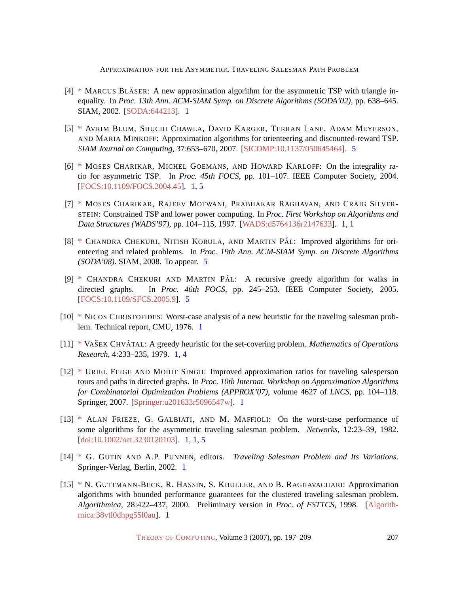#### APPROXIMATION FOR THE ASYMMETRIC TRAVELING SALESMAN PATH PROBLEM

- <span id="page-10-2"></span> $[4]$  [\\*](http://theoryofcomputing.org/articles/main/v003/a011/bibliography.html#Blaser02) MARCUS BLÄSER: A new approximation algorithm for the asymmetric TSP with triangle inequality. In *Proc. 13th Ann. ACM-SIAM Symp. on Discrete Algorithms (SODA'02)*, pp. 638–645. SIAM, 2002. [\[SODA:644213\]](http://portal.acm.org/citation.cfm?id=644213). [1](#page-1-3)
- <span id="page-10-9"></span>[5] [\\*](http://theoryofcomputing.org/articles/main/v003/a011/bibliography.html#Blumetal) AVRIM BLUM, SHUCHI CHAWLA, DAVID KARGER, TERRAN LANE, ADAM MEYERSON, AND MARIA MINKOFF: Approximation algorithms for orienteering and discounted-reward TSP. *SIAM Journal on Computing*, 37:653–670, 2007. [\[SICOMP:10.1137/050645464\]](http://dx.doi.org/10.1137/050645464). [5](#page-8-0)
- <span id="page-10-8"></span>[6] [\\*](http://theoryofcomputing.org/articles/main/v003/a011/bibliography.html#CharikarGK04) MOSES CHARIKAR, MICHEL GOEMANS, AND HOWARD KARLOFF: On the integrality ratio for asymmetric TSP. In *Proc. 45th FOCS*, pp. 101–107. IEEE Computer Society, 2004. [\[FOCS:10.1109/FOCS.2004.45\]](http://doi.ieeecomputersociety.org//10.1109/FOCS.2004.45). [1,](#page-2-0) [5](#page-8-0)
- <span id="page-10-4"></span>[7] [\\*](http://theoryofcomputing.org/articles/main/v003/a011/bibliography.html#CharikarMRS97) MOSES CHARIKAR, RAJEEV MOTWANI, PRABHAKAR RAGHAVAN, AND CRAIG SILVER-STEIN: Constrained TSP and lower power computing. In *Proc. First Workshop on Algorithms and Data Structures (WADS'97)*, pp. 104–115, 1997. [\[WADS:d5764136r2147633\]](http://springerlink.metapress.com/link.asp?id=d5764136r2147633). [1,](#page-1-0) [1](#page-2-0)
- <span id="page-10-10"></span>[8] [\\*](http://theoryofcomputing.org/articles/main/v003/a011/bibliography.html#ChekuriKP07) CHANDRA CHEKURI, NITISH KORULA, AND MARTIN PÁL: Improved algorithms for orienteering and related problems. In *Proc. 19th Ann. ACM-SIAM Symp. on Discrete Algorithms (SODA'08)*. SIAM, 2008. To appear. [5](#page-8-0)
- <span id="page-10-11"></span>[9] [\\*](http://theoryofcomputing.org/articles/main/v003/a011/bibliography.html#ChekuriP05) CHANDRA CHEKURI AND MARTIN PÁL: A recursive greedy algorithm for walks in directed graphs. In *Proc. 46th FOCS*, pp. 245–253. IEEE Computer Society, 2005. [\[FOCS:10.1109/SFCS.2005.9\]](http://doi.ieeecomputersociety.org//10.1109/SFCS.2005.9). [5](#page-8-0)
- <span id="page-10-0"></span>[10] [\\*](http://theoryofcomputing.org/articles/main/v003/a011/bibliography.html#Christofides76) NICOS CHRISTOFIDES: Worst-case analysis of a new heuristic for the traveling salesman problem. Technical report, CMU, 1976. [1](#page-1-3)
- <span id="page-10-5"></span>[11] [\\*](http://theoryofcomputing.org/articles/main/v003/a011/bibliography.html#Chvatal79) VAŠEK CHVÁTAL: A greedy heuristic for the set-covering problem. *Mathematics of Operations Research*, 4:233–235, 1979. [1,](#page-1-2) [4](#page-6-0)
- <span id="page-10-6"></span>[12] [\\*](http://theoryofcomputing.org/articles/main/v003/a011/bibliography.html#FeigeS07) URIEL FEIGE AND MOHIT SINGH: Improved approximation ratios for traveling salesperson tours and paths in directed graphs. In *Proc. 10th Internat. Workshop on Approximation Algorithms for Combinatorial Optimization Problems (APPROX'07)*, volume 4627 of *LNCS*, pp. 104–118. Springer, 2007. [\[Springer:u201633r5096547w\]](http://springerlink.metapress.com/link.asp?id=u201633r5096547w). [1](#page-1-2)
- <span id="page-10-1"></span>[13] [\\*](http://theoryofcomputing.org/articles/main/v003/a011/bibliography.html#FriezeGM82) ALAN FRIEZE, G. GALBIATI, AND M. MAFFIOLI: On the worst-case performance of some algorithms for the asymmetric traveling salesman problem. *Networks*, 12:23–39, 1982. [\[doi:10.1002/net.3230120103\]](http://dx.doi.org/10.1002/net.3230120103). [1,](#page-1-2) 1, [5](#page-8-0)
- <span id="page-10-7"></span>[14] [\\*](http://theoryofcomputing.org/articles/main/v003/a011/bibliography.html#TSP_book2) G. GUTIN AND A.P. PUNNEN, editors. *Traveling Salesman Problem and Its Variations*. Springer-Verlag, Berlin, 2002. [1](#page-2-0)
- <span id="page-10-3"></span>[15] [\\*](http://theoryofcomputing.org/articles/main/v003/a011/bibliography.html#GHKR98) N. GUTTMANN-BECK, R. HASSIN, S. KHULLER, AND B. RAGHAVACHARI: Approximation algorithms with bounded performance guarantees for the clustered traveling salesman problem. *Algorithmica*, 28:422–437, 2000. Preliminary version in *Proc. of FSTTCS*, 1998. [\[Algorith](http://springerlink.metapress.com/link.asp?id=38vtl0dhpg55l0au)[mica:38vtl0dhpg55l0au\]](http://springerlink.metapress.com/link.asp?id=38vtl0dhpg55l0au). [1](#page-1-3)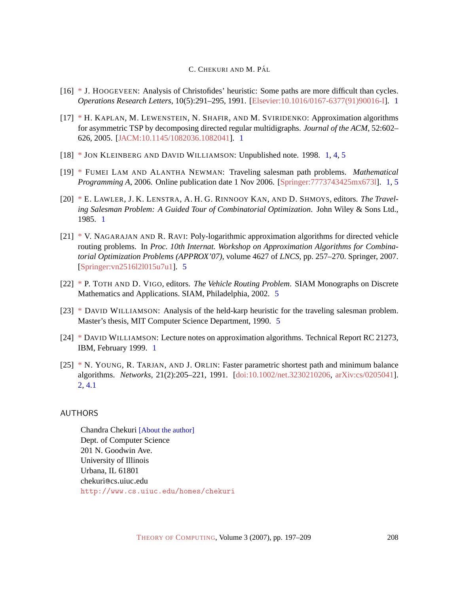- <span id="page-11-2"></span>[16] [\\*](http://theoryofcomputing.org/articles/main/v003/a011/bibliography.html#Hoogeveen91) J. HOOGEVEEN: Analysis of Christofides' heuristic: Some paths are more difficult than cycles. *Operations Research Letters*, 10(5):291–295, 1991. [\[Elsevier:10.1016/0167-6377\(91\)90016-I\]](http://dx.doi.org/10.1016/0167-6377(91)90016-I). [1](#page-1-3)
- <span id="page-11-1"></span>[17] [\\*](http://theoryofcomputing.org/articles/main/v003/a011/bibliography.html#KaplanLSS03) H. KAPLAN, M. LEWENSTEIN, N. SHAFIR, AND M. SVIRIDENKO: Approximation algorithms for asymmetric TSP by decomposing directed regular multidigraphs. *Journal of the ACM*, 52:602– 626, 2005. [\[JACM:10.1145/1082036.1082041\]](http://doi.acm.org/10.1145/1082036.1082041). [1](#page-1-3)
- <span id="page-11-4"></span>[18] [\\*](http://theoryofcomputing.org/articles/main/v003/a011/bibliography.html#KleinbergW98) JON KLEINBERG AND DAVID WILLIAMSON: Unpublished note. 1998. [1,](#page-1-2) [4,](#page-6-0) [5](#page-9-3)
- <span id="page-11-3"></span>[19] [\\*](http://theoryofcomputing.org/articles/main/v003/a011/bibliography.html#LamN05) FUMEI LAM AND ALANTHA NEWMAN: Traveling salesman path problems. *Mathematical Programming A*, 2006. Online publication date 1 Nov 2006. [\[Springer:7773743425mx673l\]](http://springerlink.metapress.com/link.asp?id=7773743425mx673l). [1,](#page-1-3) [5](#page-9-3)
- <span id="page-11-6"></span>[20] [\\*](http://theoryofcomputing.org/articles/main/v003/a011/bibliography.html#TSP_book1) E. LAWLER, J. K. LENSTRA, A. H. G. RINNOOY KAN, AND D. SHMOYS, editors. *The Traveling Salesman Problem: A Guided Tour of Combinatorial Optimization*. John Wiley & Sons Ltd., 1985. [1](#page-2-0)
- <span id="page-11-9"></span>[21] [\\*](http://theoryofcomputing.org/articles/main/v003/a011/bibliography.html#NagarajanR07) V. NAGARAJAN AND R. RAVI: Poly-logarithmic approximation algorithms for directed vehicle routing problems. In *Proc. 10th Internat. Workshop on Approximation Algorithms for Combinatorial Optimization Problems (APPROX'07)*, volume 4627 of *LNCS*, pp. 257–270. Springer, 2007. [\[Springer:vn2516l2l015u7u1\]](http://springerlink.metapress.com/link.asp?id=vn2516l2l015u7u1). [5](#page-8-0)
- <span id="page-11-8"></span>[22] [\\*](http://theoryofcomputing.org/articles/main/v003/a011/bibliography.html#vehicle_book) P. TOTH AND D. VIGO, editors. *The Vehicle Routing Problem*. SIAM Monographs on Discrete Mathematics and Applications. SIAM, Philadelphia, 2002. [5](#page-8-0)
- <span id="page-11-10"></span>[23] [\\*](http://theoryofcomputing.org/articles/main/v003/a011/bibliography.html#Williamson90) DAVID WILLIAMSON: Analysis of the held-karp heuristic for the traveling salesman problem. Master's thesis, MIT Computer Science Department, 1990. [5](#page-8-0)
- <span id="page-11-5"></span>[24] [\\*](http://theoryofcomputing.org/articles/main/v003/a011/bibliography.html#Williamson99) DAVID WILLIAMSON: Lecture notes on approximation algorithms. Technical Report RC 21273, IBM, February 1999. [1](#page-1-2)
- <span id="page-11-7"></span>[25] [\\*](http://theoryofcomputing.org/articles/main/v003/a011/bibliography.html#YoungTO91) N. YOUNG, R. TARJAN, AND J. ORLIN: Faster parametric shortest path and minimum balance algorithms. *Networks*, 21(2):205–221, 1991. [\[doi:10.1002/net.3230210206,](http://dx.doi.org/10.1002/net.3230210206) [arXiv:cs/0205041\]](http://arxiv.org/abs/cs/0205041). [2,](#page-3-0) [4.1](#page-7-0)

## <span id="page-11-0"></span>AUTHORS

Chandra Chekuri [\[About the author\]](#page-12-1) Dept. of Computer Science 201 N. Goodwin Ave. University of Illinois Urbana, IL 61801 chekuri@cs.uiuc.edu <http://www.cs.uiuc.edu/homes/chekuri>

THEORY OF C[OMPUTING](http://dx.doi.org/10.4086/toc), Volume 3 (2007), pp. 197–209 208